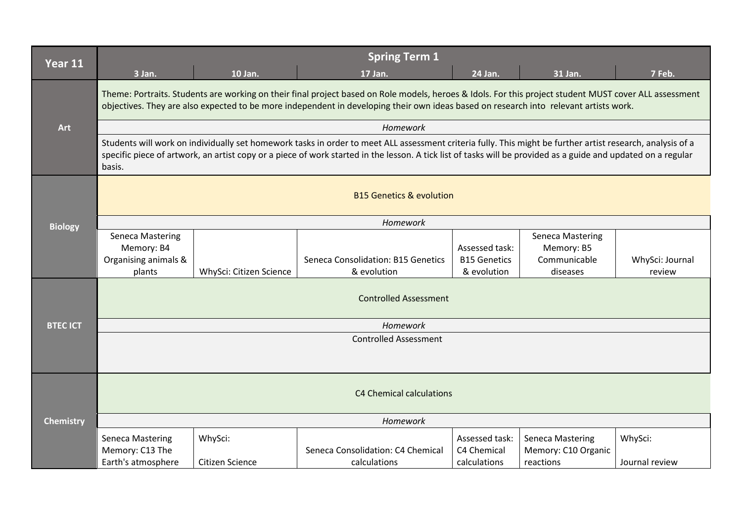| Year 11          | <b>Spring Term 1</b>                                                                                                                                                                                                                                                                                                                  |                            |                                                   |                                                      |                                                                   |                           |  |
|------------------|---------------------------------------------------------------------------------------------------------------------------------------------------------------------------------------------------------------------------------------------------------------------------------------------------------------------------------------|----------------------------|---------------------------------------------------|------------------------------------------------------|-------------------------------------------------------------------|---------------------------|--|
|                  | 3 Jan.                                                                                                                                                                                                                                                                                                                                | 10 Jan.                    | 17 Jan.                                           | 24 Jan.                                              | 31 Jan.                                                           | 7 Feb.                    |  |
| Art              | Theme: Portraits. Students are working on their final project based on Role models, heroes & Idols. For this project student MUST cover ALL assessment<br>objectives. They are also expected to be more independent in developing their own ideas based on research into relevant artists work.                                       |                            |                                                   |                                                      |                                                                   |                           |  |
|                  | Homework                                                                                                                                                                                                                                                                                                                              |                            |                                                   |                                                      |                                                                   |                           |  |
|                  | Students will work on individually set homework tasks in order to meet ALL assessment criteria fully. This might be further artist research, analysis of a<br>specific piece of artwork, an artist copy or a piece of work started in the lesson. A tick list of tasks will be provided as a guide and updated on a regular<br>basis. |                            |                                                   |                                                      |                                                                   |                           |  |
|                  | <b>B15 Genetics &amp; evolution</b>                                                                                                                                                                                                                                                                                                   |                            |                                                   |                                                      |                                                                   |                           |  |
| <b>Biology</b>   | Homework                                                                                                                                                                                                                                                                                                                              |                            |                                                   |                                                      |                                                                   |                           |  |
|                  | <b>Seneca Mastering</b><br>Memory: B4<br>Organising animals &<br>plants                                                                                                                                                                                                                                                               | WhySci: Citizen Science    | Seneca Consolidation: B15 Genetics<br>& evolution | Assessed task:<br><b>B15 Genetics</b><br>& evolution | <b>Seneca Mastering</b><br>Memory: B5<br>Communicable<br>diseases | WhySci: Journal<br>review |  |
|                  | <b>Controlled Assessment</b>                                                                                                                                                                                                                                                                                                          |                            |                                                   |                                                      |                                                                   |                           |  |
| <b>BTEC ICT</b>  | Homework                                                                                                                                                                                                                                                                                                                              |                            |                                                   |                                                      |                                                                   |                           |  |
|                  | <b>Controlled Assessment</b>                                                                                                                                                                                                                                                                                                          |                            |                                                   |                                                      |                                                                   |                           |  |
|                  | C4 Chemical calculations                                                                                                                                                                                                                                                                                                              |                            |                                                   |                                                      |                                                                   |                           |  |
| <b>Chemistry</b> | Homework                                                                                                                                                                                                                                                                                                                              |                            |                                                   |                                                      |                                                                   |                           |  |
|                  | Seneca Mastering<br>Memory: C13 The<br>Earth's atmosphere                                                                                                                                                                                                                                                                             | WhySci:<br>Citizen Science | Seneca Consolidation: C4 Chemical<br>calculations | Assessed task:<br>C4 Chemical<br>calculations        | <b>Seneca Mastering</b><br>Memory: C10 Organic<br>reactions       | WhySci:<br>Journal review |  |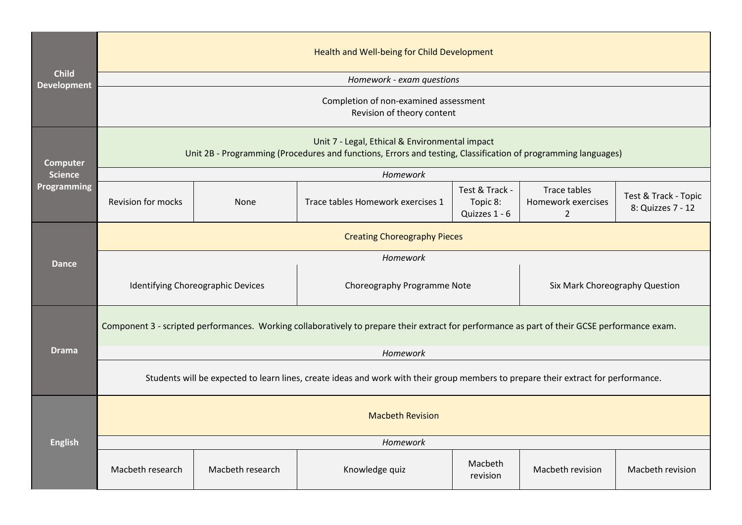|                                    | Health and Well-being for Child Development                                                                                                                     |                  |                                   |                                             |                                                      |                                           |  |  |
|------------------------------------|-----------------------------------------------------------------------------------------------------------------------------------------------------------------|------------------|-----------------------------------|---------------------------------------------|------------------------------------------------------|-------------------------------------------|--|--|
| <b>Child</b><br><b>Development</b> | Homework - exam questions                                                                                                                                       |                  |                                   |                                             |                                                      |                                           |  |  |
|                                    | Completion of non-examined assessment<br>Revision of theory content                                                                                             |                  |                                   |                                             |                                                      |                                           |  |  |
| <b>Computer</b>                    | Unit 7 - Legal, Ethical & Environmental impact<br>Unit 2B - Programming (Procedures and functions, Errors and testing, Classification of programming languages) |                  |                                   |                                             |                                                      |                                           |  |  |
| <b>Science</b>                     |                                                                                                                                                                 |                  | Homework                          |                                             |                                                      |                                           |  |  |
| Programming                        | <b>Revision for mocks</b>                                                                                                                                       | <b>None</b>      | Trace tables Homework exercises 1 | Test & Track -<br>Topic 8:<br>Quizzes 1 - 6 | Trace tables<br>Homework exercises<br>$\overline{2}$ | Test & Track - Topic<br>8: Quizzes 7 - 12 |  |  |
|                                    | <b>Creating Choreography Pieces</b>                                                                                                                             |                  |                                   |                                             |                                                      |                                           |  |  |
| <b>Dance</b>                       | Homework                                                                                                                                                        |                  |                                   |                                             |                                                      |                                           |  |  |
|                                    | Identifying Choreographic Devices                                                                                                                               |                  | Choreography Programme Note       |                                             | Six Mark Choreography Question                       |                                           |  |  |
|                                    | Component 3 - scripted performances. Working collaboratively to prepare their extract for performance as part of their GCSE performance exam.                   |                  |                                   |                                             |                                                      |                                           |  |  |
| <b>Drama</b>                       | Homework                                                                                                                                                        |                  |                                   |                                             |                                                      |                                           |  |  |
|                                    | Students will be expected to learn lines, create ideas and work with their group members to prepare their extract for performance.                              |                  |                                   |                                             |                                                      |                                           |  |  |
| <b>English</b>                     | <b>Macbeth Revision</b>                                                                                                                                         |                  |                                   |                                             |                                                      |                                           |  |  |
|                                    | Homework                                                                                                                                                        |                  |                                   |                                             |                                                      |                                           |  |  |
|                                    | Macbeth research                                                                                                                                                | Macbeth research | Knowledge quiz                    | Macbeth<br>revision                         | Macbeth revision                                     | Macbeth revision                          |  |  |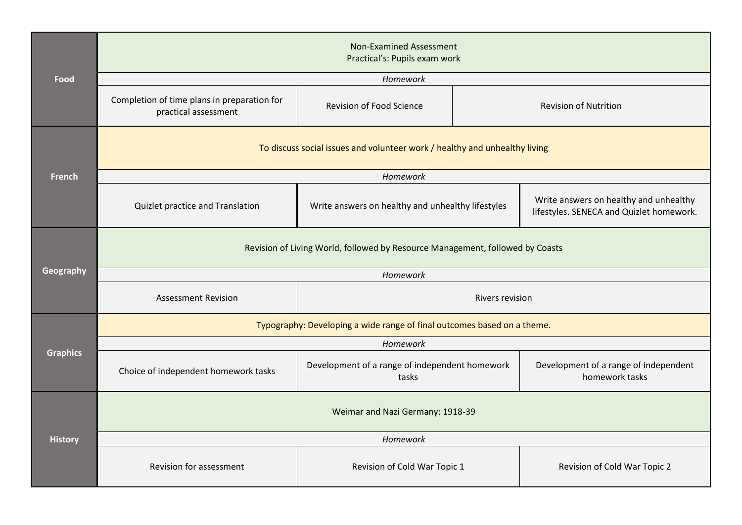|                 | <b>Non-Examined Assessment</b><br>Practical's: Pupils exam work               |                                                         |  |                                                                                    |  |  |
|-----------------|-------------------------------------------------------------------------------|---------------------------------------------------------|--|------------------------------------------------------------------------------------|--|--|
| Food            |                                                                               | Homework                                                |  |                                                                                    |  |  |
|                 | Completion of time plans in preparation for<br>practical assessment           | <b>Revision of Food Science</b>                         |  | <b>Revision of Nutrition</b>                                                       |  |  |
|                 | To discuss social issues and volunteer work / healthy and unhealthy living    |                                                         |  |                                                                                    |  |  |
| French          |                                                                               | Homework                                                |  |                                                                                    |  |  |
|                 | Quizlet practice and Translation                                              | Write answers on healthy and unhealthy lifestyles       |  | Write answers on healthy and unhealthy<br>lifestyles. SENECA and Quizlet homework. |  |  |
|                 | Revision of Living World, followed by Resource Management, followed by Coasts |                                                         |  |                                                                                    |  |  |
| Geography       | Homework                                                                      |                                                         |  |                                                                                    |  |  |
|                 | <b>Assessment Revision</b><br><b>Rivers revision</b>                          |                                                         |  |                                                                                    |  |  |
|                 | Typography: Developing a wide range of final outcomes based on a theme.       |                                                         |  |                                                                                    |  |  |
|                 | Homework                                                                      |                                                         |  |                                                                                    |  |  |
| <b>Graphics</b> | Choice of independent homework tasks                                          | Development of a range of independent homework<br>tasks |  | Development of a range of independent<br>homework tasks                            |  |  |
|                 | Weimar and Nazi Germany: 1918-39                                              |                                                         |  |                                                                                    |  |  |
| <b>History</b>  | Homework                                                                      |                                                         |  |                                                                                    |  |  |
|                 | Revision for assessment                                                       | Revision of Cold War Topic 1                            |  | Revision of Cold War Topic 2                                                       |  |  |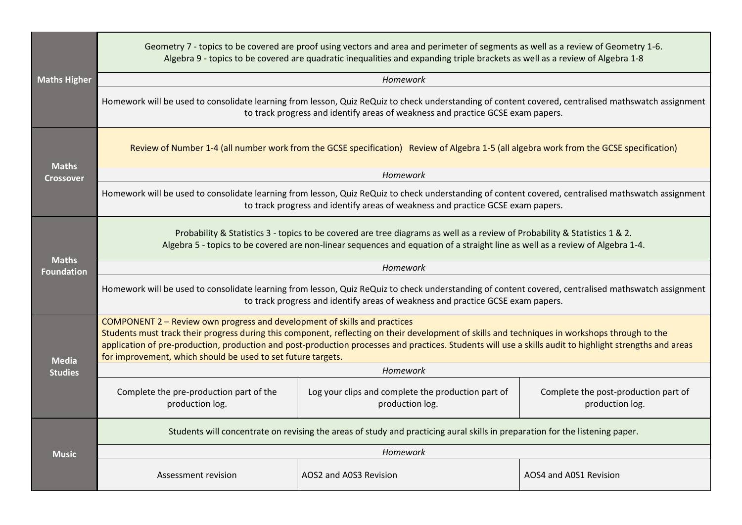| <b>Maths Higher</b>               | Geometry 7 - topics to be covered are proof using vectors and area and perimeter of segments as well as a review of Geometry 1-6.<br>Algebra 9 - topics to be covered are quadratic inequalities and expanding triple brackets as well as a review of Algebra 1-8                                                                                                                                                                                       |                                                                       |                                                         |  |  |  |
|-----------------------------------|---------------------------------------------------------------------------------------------------------------------------------------------------------------------------------------------------------------------------------------------------------------------------------------------------------------------------------------------------------------------------------------------------------------------------------------------------------|-----------------------------------------------------------------------|---------------------------------------------------------|--|--|--|
|                                   | Homework                                                                                                                                                                                                                                                                                                                                                                                                                                                |                                                                       |                                                         |  |  |  |
|                                   | Homework will be used to consolidate learning from lesson, Quiz ReQuiz to check understanding of content covered, centralised mathswatch assignment<br>to track progress and identify areas of weakness and practice GCSE exam papers.                                                                                                                                                                                                                  |                                                                       |                                                         |  |  |  |
| <b>Maths</b>                      | Review of Number 1-4 (all number work from the GCSE specification) Review of Algebra 1-5 (all algebra work from the GCSE specification)                                                                                                                                                                                                                                                                                                                 |                                                                       |                                                         |  |  |  |
| <b>Crossover</b>                  |                                                                                                                                                                                                                                                                                                                                                                                                                                                         | Homework                                                              |                                                         |  |  |  |
|                                   | Homework will be used to consolidate learning from lesson, Quiz ReQuiz to check understanding of content covered, centralised mathswatch assignment<br>to track progress and identify areas of weakness and practice GCSE exam papers.                                                                                                                                                                                                                  |                                                                       |                                                         |  |  |  |
|                                   | Probability & Statistics 3 - topics to be covered are tree diagrams as well as a review of Probability & Statistics 1 & 2.<br>Algebra 5 - topics to be covered are non-linear sequences and equation of a straight line as well as a review of Algebra 1-4.                                                                                                                                                                                             |                                                                       |                                                         |  |  |  |
| <b>Maths</b><br><b>Foundation</b> | Homework                                                                                                                                                                                                                                                                                                                                                                                                                                                |                                                                       |                                                         |  |  |  |
|                                   | Homework will be used to consolidate learning from lesson, Quiz ReQuiz to check understanding of content covered, centralised mathswatch assignment<br>to track progress and identify areas of weakness and practice GCSE exam papers.                                                                                                                                                                                                                  |                                                                       |                                                         |  |  |  |
| <b>Media</b>                      | COMPONENT 2 - Review own progress and development of skills and practices<br>Students must track their progress during this component, reflecting on their development of skills and techniques in workshops through to the<br>application of pre-production, production and post-production processes and practices. Students will use a skills audit to highlight strengths and areas<br>for improvement, which should be used to set future targets. |                                                                       |                                                         |  |  |  |
| <b>Studies</b>                    | Homework                                                                                                                                                                                                                                                                                                                                                                                                                                                |                                                                       |                                                         |  |  |  |
|                                   | Complete the pre-production part of the<br>production log.                                                                                                                                                                                                                                                                                                                                                                                              | Log your clips and complete the production part of<br>production log. | Complete the post-production part of<br>production log. |  |  |  |
|                                   | Students will concentrate on revising the areas of study and practicing aural skills in preparation for the listening paper.                                                                                                                                                                                                                                                                                                                            |                                                                       |                                                         |  |  |  |
| <b>Music</b>                      | Homework                                                                                                                                                                                                                                                                                                                                                                                                                                                |                                                                       |                                                         |  |  |  |
|                                   | Assessment revision                                                                                                                                                                                                                                                                                                                                                                                                                                     | AOS2 and A0S3 Revision                                                | AOS4 and A0S1 Revision                                  |  |  |  |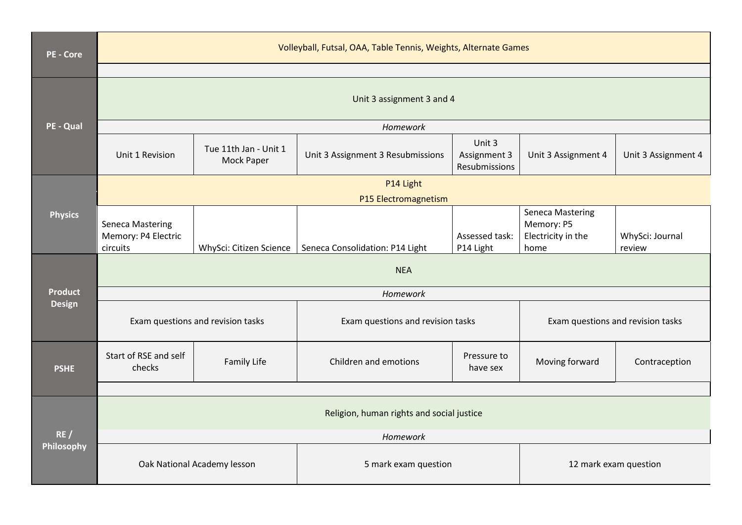| <b>PE - Core</b> | Volleyball, Futsal, OAA, Table Tennis, Weights, Alternate Games |                                     |                                               |                                         |                                                                     |                           |  |  |
|------------------|-----------------------------------------------------------------|-------------------------------------|-----------------------------------------------|-----------------------------------------|---------------------------------------------------------------------|---------------------------|--|--|
|                  |                                                                 |                                     |                                               |                                         |                                                                     |                           |  |  |
|                  | Unit 3 assignment 3 and 4                                       |                                     |                                               |                                         |                                                                     |                           |  |  |
| PE - Qual        |                                                                 | Homework                            |                                               |                                         |                                                                     |                           |  |  |
|                  | Unit 1 Revision                                                 | Tue 11th Jan - Unit 1<br>Mock Paper | Unit 3 Assignment 3 Resubmissions             | Unit 3<br>Assignment 3<br>Resubmissions | Unit 3 Assignment 4                                                 | Unit 3 Assignment 4       |  |  |
|                  |                                                                 | P14 Light                           |                                               |                                         |                                                                     |                           |  |  |
|                  | P15 Electromagnetism                                            |                                     |                                               |                                         |                                                                     |                           |  |  |
| <b>Physics</b>   | <b>Seneca Mastering</b><br>Memory: P4 Electric<br>circuits      | WhySci: Citizen Science             | Seneca Consolidation: P14 Light               | Assessed task:<br>P14 Light             | <b>Seneca Mastering</b><br>Memory: P5<br>Electricity in the<br>home | WhySci: Journal<br>review |  |  |
|                  | <b>NEA</b>                                                      |                                     |                                               |                                         |                                                                     |                           |  |  |
| <b>Product</b>   | Homework                                                        |                                     |                                               |                                         |                                                                     |                           |  |  |
| <b>Design</b>    | Exam questions and revision tasks                               |                                     | Exam questions and revision tasks             |                                         | Exam questions and revision tasks                                   |                           |  |  |
| <b>PSHE</b>      | Start of RSE and self<br>checks                                 | Family Life                         | Children and emotions                         | Pressure to<br>have sex                 | Moving forward                                                      | Contraception             |  |  |
|                  |                                                                 |                                     |                                               |                                         |                                                                     |                           |  |  |
|                  | Religion, human rights and social justice                       |                                     |                                               |                                         |                                                                     |                           |  |  |
| RE/              | Homework                                                        |                                     |                                               |                                         |                                                                     |                           |  |  |
| Philosophy       |                                                                 | Oak National Academy lesson         | 5 mark exam question<br>12 mark exam question |                                         |                                                                     |                           |  |  |